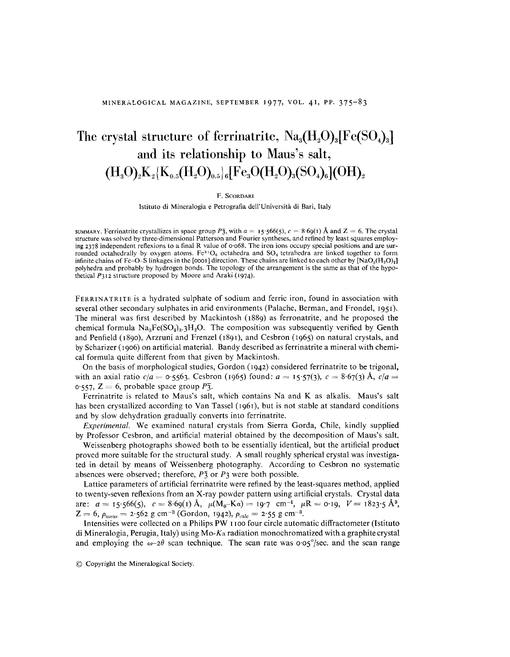## The crystal structure of ferrinatrite,  $\text{Na}_3(\text{H}_2\text{O})_3[\text{Fe(SO}_4)_3]$ and its relationship to Maus's salt,  $(H_3O)_2K_2\{K_{0.5}(H_2O)_{0.5}\}$ 6<sup>[Fe<sub>3</sub>O(H<sub>2</sub>O)<sub>3</sub>(SO<sub>4</sub>)<sub>6</sub>](OH)<sub>2</sub></sup>

## F. SCORDARI

Istituto di Mineralogia e Petrografia dell'Universita di Bari, Italy

SUMMARY. Ferrinatrite crystallizes in space group  $P\bar{3}$ , with  $a = 15$ :566(5),  $c = 8.69(1)$  Å and  $Z = 6$ . The crysta structure was solved by three-dimensional Patterson and Fourier syntheses, and refined by least squares employing 2378 independent reflexions to a final R value of 0'068. The iron ions occupy special positions and are surrounded octahedrally by oxygen atoms.  $Fe^{3+}O_6$  octahedra and SO<sub>4</sub> tetrahedra are linked together to form infinite chains of Fe-O-S linkages in the [0001] direction. These chains are linked to each other by  $[NaO<sub>5</sub>(H<sub>2</sub>O)<sub>2</sub>]$ polyhedra and probably by hydrogen bonds. The topology of the arrangement is the same as that of the hypothetical *P312* structure proposed by Moore and Araki (1974).

FERRINATRITE is a hydrated sulphate of sodium and ferric iron, found in association with several other secondary sulphates in arid environments (Palache, Berman, and Frondel, 1951). The mineral was first described by Mackintosh (1889) as ferronatrite, and he proposed the chemical formula  $Na<sub>3</sub>Fe(SO<sub>4</sub>)<sub>3</sub>·3H<sub>2</sub>O$ . The composition was subsequently verified by Genth and Penfield (1890), Arzruni and Frenzel (189 I), and Cesbron (I 96S) on natural crystals, and by Scharizer (1906) on artificial material. Bandy described as ferrinatrite a mineral with chemical formula quite different from that given by Mackintosh.

On the basis of morphological studies, Gordon (1942) considered ferrinatrite to be trigonal, with an axial ratio  $c/a = 0.5563$ . Cesbron (1965) found:  $a = 15.57(3)$ ,  $c = 8.67(3)$  Å,  $c/a = 15.57(3)$ O'SS7,Z = 6, probable space group *P3.*

Ferrinatrite is related to Maus's salt, which contains Na and K as alkalis, Maus's salt has been crystallized according to Van Tassel (1961), but is not stable at standard conditions and by slow dehydration gradually converts into ferrinatrite,

*Experimental.* We examined natural crystals from Sierra Gorda, Chile, kindly supplied by Professor Cesbron, and artificial material obtained by the decomposition of Maus's salt.

Weissenberg photographs showed both to be essentially identical, but the artificial product proved more suitable for the structural study, A small roughly spherical crystal was investigated in detail by means of Weissenberg photography, According to Cesbron no systematic absences were observed; therefore, *P'j* or *P3* were both possible,

Lattice parameters of artificial ferrinatrite were refined by the least-squares method, applied to twenty-seven reflexions from an X-ray powder pattern using artificial crystals. Crystal data are:  $a = 15.566(5)$ ,  $c = 8.69(1)$  Å,  $\mu(\overline{M_0-Ka}) = 19.7$  cm<sup>-1</sup>,  $\mu R = 0.19$ ,  $V = 1823.5$  Å<sup>3</sup>,  $Z = 6$ ,  $\rho_{\text{meas}} = 2.562 \text{ g cm}^{-3}$  (Gordon, 1942),  $\rho_{\text{calc}} = 2.55 \text{ g cm}^{-3}$ .

Intensities were collected on a Philips PW 1100 four circle automatic diffractometer (Istituto di Mineralogia, Perugia, Italy) using *Mo-Kcx* radiation monochromatized with a graphite crystal and employing the  $\omega$ -2 $\theta$  scan technique. The scan rate was  $\sigma \circ \sigma^2$ /sec, and the scan range

@ Copyright the Mineralogical Society.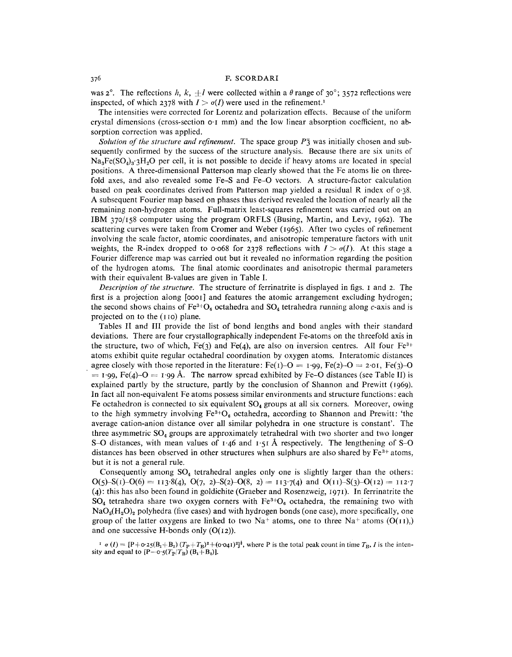## F. SCORDARI

was  $2^{\circ}$ . The reflections *h*, *k*,  $\pm l$  were collected within a  $\theta$  range of 30°; 3572 reflections were inspected, of which 2378 with  $I > \sigma(I)$  were used in the refinement.<sup>1</sup>

The intensities were corrected for Lorentz and polarization effects. Because of the uniform crystal dimensions (cross-section  $o \cdot I$  mm) and the low linear absorption coefficient, no absorption correction was applied.

*Solution of the structure and refinement.* The space group *P'j* was initially chosen and subsequently confirmed by the success of the structure analysis. Because there are six units of  $Na<sub>3</sub>Fe(SO<sub>4</sub>)<sub>3</sub>·3H<sub>2</sub>O$  per cell, it is not possible to decide if heavy atoms are located in special positions. A three-dimensional Patterson map clearly showed that the Fe atoms lie on threefold axes, and also revealed some Fe-S and Fe-O vectors. A structure-factor calculation based on peak coordinates derived from Patterson map yielded a residual R index of  $\sigma$ -38. A subsequent Fourier map based on phases thus derived revealed the location of nearly all the remaining non-hydrogen atoms. Full-matrix least-squares refinement was carried out on an IBM 370/158 computer using the program ORFLS (Busing, Martin, and Levy, 1962). The scattering curves were taken from Cromer and Weber (1965). After two cycles of refinement involving the scale factor, atomic coordinates, and anisotropic temperature factors with unit weights, the R-index dropped to 0.068 for 2378 reflections with  $I > \sigma(I)$ . At this stage a Fourier difference map was carried out but it revealed no information regarding the position of the hydrogen atoms. The final atomic coordinates and anisotropic thermal parameters with their equivalent B-values are given in Table I.

*Description of the structure.* The structure of ferrinatrite is displayed in figs. I and 2. The first is a projection along [0001] and features the atomic arrangement excluding hydrogen; the second shows chains of Fe<sup>3+</sup>O<sub>6</sub> octahedra and SO<sub>4</sub> tetrahedra running along c-axis and is projected on to the (I ro) plane.

Tables II and **III** provide the list of bond lengths and bond angles with their standard deviations. There are four crystallographically independent Fe-atoms on the threefold axis in the structure, two of which, Fe(3) and Fe(4), are also on inversion centres. All four Fe<sup>3+</sup> atoms exhibit quite regular octahedral coordination by oxygen atoms. Interatomic distances agree closely with those reported in the literature:  $Fe(1)-O = 1.99$ ,  $Fe(2)-O = 2.01$ ,  $Fe(3)-O$  $= 1.99$ , Fe(4)-O  $= 1.99$  Å. The narrow spread exhibited by Fe-O distances (see Table II) is explained partly by the structure, partly by the conclusion of Shannon and Prewitt (1969). In fact all non-equivalent Fe atoms possess similar environments and structure functions: each Fe octahedron is connected to six equivalent  $SO_4$  groups at all six corners. Moreover, owing to the high symmetry involving  $Fe^{3+}O_6$  octahedra, according to Shannon and Prewitt: 'the average cation-anion distance over all similar polyhedra in one structure is constant'. The three asymmetric  $SO_4$  groups are approximately tetrahedral with two shorter and two longer S-O distances, with mean values of  $1.46$  and  $1.51$  Å respectively. The lengthening of S-O distances has been observed in other structures when sulphurs are also shared by  $Fe<sup>3+</sup>$  atoms, but it is not a general rule.

Consequently among  $SO_4$  tetrahedral angles only one is slightly larger than the others:  $O(5) - S(1) - O(6) = 113.8(4), O(7, 2) - S(2) - O(8, 2) = 113.7(4)$  and  $O(11) - S(3) - O(12) = 112.7$ (4): this has also been found in goldichite (Graeber and Rosenzweig, 197r). In ferrinatrite the  $SO_4$  tetrahedra share two oxygen corners with  $Fe^{3+}O_6$  octahedra, the remaining two with  $NaO<sub>5</sub>(H<sub>2</sub>O)<sub>2</sub>$  polyhedra (five cases) and with hydrogen bonds (one case), more specifically, one group of the latter oxygens are linked to two Na<sup>+</sup> atoms, one to three Na<sup>+</sup> atoms (O( $_{11}$ ),) and one successive H-bonds only  $(O(12))$ .

 $I \propto (I) = [P + \sigma^2 \cdot 2(8I_1 + B_2) (T_P + T_R)^2 + (\sigma^2 \cdot 6I_1)^2]$ , where P is the total peak count in time  $T_B$ , I is the intensity and equal to  $[P-0.5(T_P/T_B)(B_1 + B_2)]$ .

.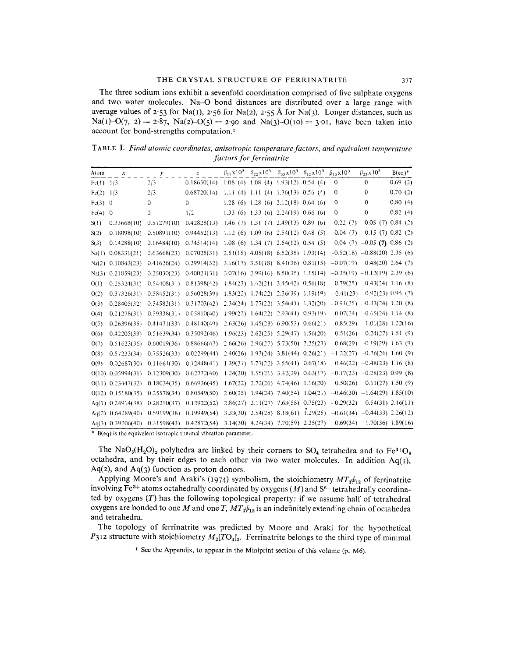The three sodium ions exhibit a sevenfold coordination comprised of five sulphate oxygens and two water molecules. Na-O bond distances are distributed over a large range with average values of  $2.53$  for Na(1),  $2.56$  for Na(2),  $2.55$  Å for Na(3). Longer distances, such as Na(1)-O(7, 2) = 2.87, Na(2)-O(5) = 2.90 and Na(3)-O(10) = 3.01, have been taken into account for bond-strengths computation. <sup>I</sup>

T ABLE I. *Final atomic coordinates, anisotropic temperaturefactors, and equivalent temperature factors for ferrinatrite*

| Atom  | $\boldsymbol{x}$    | $\mathcal{V}$ | $\overline{z}$ | $\beta_{11} x 10^3$ | $\beta_{22} x 10^3$                         | $\beta_{33} x 10^3$              | $\beta_{12} x 10^3$ | $\beta_{13}$ x 10 <sup>3</sup>                                    | $\beta_{23}x10^3$                | $B(eq)^*$           |
|-------|---------------------|---------------|----------------|---------------------|---------------------------------------------|----------------------------------|---------------------|-------------------------------------------------------------------|----------------------------------|---------------------|
| Fe(1) | 1/3                 | 2/3           | 0.18650(14)    | 1.08(4)             | 1.08(4) 1.93(12) 0.54(4)                    |                                  |                     | $\mathbf{0}$                                                      | $\mathbf{0}$                     | 0.69(2)             |
| Fe(2) | 1/3                 | 2/3           | 0.68720(14)    | 1.11(4)             |                                             | 1.11 (4) $1.76(13)$ 0.56 (4)     |                     | 0                                                                 | 0                                | 0.70(2)             |
| Fe(3) | $\theta$            | $\mathbf 0$   | 0              | 1.28(6)             | 1.28(6) 2.12(18) 0.64(6)                    |                                  |                     | 0                                                                 | $\mathbf 0$                      | 0.80(4)             |
| Fe(4) | $\mathbf 0$         | $\mathbf{0}$  | 1/2            | 1.33(6)             | 1.33(6) 2.24(19) 0.66(6)                    |                                  |                     | 0                                                                 | 0                                | 0.82(4)             |
| S(1)  | 0.33668(10)         | 0.51279(10)   | 0.42828(13)    | 1.46(7)             |                                             | $1.31(7)$ $2.49(13)$ $0.89(6)$   |                     | 0.22(7)                                                           |                                  | 0.05(7) 0.84(2)     |
| S(2)  | 0.18098(10)         | 0.50891(10)   | 0.94452(13)    | 1.12(6)             | 1.09(6) 2.54(12) 0.48(5)                    |                                  |                     | 0.04(7)                                                           |                                  | 0.15(7) 0.82(2)     |
| S(3)  | 0.14288(10)         | 0.16484(10)   | 0.74514(14)    | 1.08(6)             |                                             | $1.34(7)$ $2.54(12)$ 0.54 (5)    |                     | 0.04(7)                                                           | $-0.05$ (7) 0.86 (2)             |                     |
| Na(1) | 0.08331(21)         | 0.63668(23)   | 0.07025(31)    | 2.51(15)            |                                             | $4.05(18)$ $8.52(35)$ $1.93(14)$ |                     | $-0.52(18)$ $-0.88(20)$ 2.35 (6)                                  |                                  |                     |
| Na(2) | 0.10843(23)         | 0.41626(24)   | 0.29914(32)    | 3.16(17)            | $3.51(18)$ $8.41(36)$ $0.81(15)$            |                                  |                     | $-0.07(19)$                                                       |                                  | $0.48(20)$ 2.64 (7) |
| Na(3) | 0.21859(23)         | 0.25030(23)   | 0.40021(31)    |                     | $3.07(16)$ $2.99(16)$ $8.50(35)$ $1.15(14)$ |                                  |                     | $-0.35(19) -0.12(19)$ 2.39 (6)                                    |                                  |                     |
| O(1)  | 0.25324(31)         | 0.54408(31)   | 0.81398(42)    | 1.84(23)            |                                             | $1.42(21)$ $3.45(42)$ $0.56(18)$ |                     | 0.79(25)                                                          |                                  | $0.43(24)$ 1.16 (8) |
| O(2)  | 0.37326(31)         | 0.58452(31)   | 0.56028(39)    | 1.83(22)            |                                             | $1.74(22)$ $2.36(39)$ $1.19(19)$ |                     |                                                                   | $-0.41(23)$ $-0.92(23)$ 0.95 (7) |                     |
| O(3)  | 0.28405(32)         | 0.54582(31)   | 0.31703(42)    | 2.34(24)            |                                             |                                  |                     | $1.77(22)$ $3.54(41)$ $1.32(20)$ $-0.91(25)$ $-0.33(24)$ 1.20 (8) |                                  |                     |
| O(4)  | 0.21278(31)         | 0.59338(31)   | 0.05810(40)    | 1.99(22)            |                                             | $1.64(22)$ $2.93(41)$ $0.93(19)$ |                     | 0.07(24)                                                          | $-0.65(24)$ 1.14 (8)             |                     |
| O(5)  | 0.26396(35)         | 0.41471(33)   | 0.48140(49)    | 2.63(26)            |                                             | $1.45(23)$ 6.90(53) 0.66(21)     |                     | 0.85(29)                                                          |                                  | $1.01(28)$ 1.22(16) |
| O(6)  | 0.42205(33)         | 0.51639(34)   | 0.35092(46)    | 1.96(23)            | $2.62(25)$ 5.29(47)                         |                                  | 1.56(20)            |                                                                   | $0.51(26) -0.24(27) 1.51(9)$     |                     |
| O(7)  | 0.51623(36)         | 0.60019(36)   | 0.88666(47)    |                     | $2.66(26)$ $2.96(27)$ $5.73(50)$            |                                  | 2.25(23)            |                                                                   | $0.68(29) -0.19(29) 1.63(9)$     |                     |
| O(8)  | 0.57233(34)         | 0.75526(33)   | 0.02299(44)    | 2.40(26)            |                                             | $1.93(24)$ $3.81(44)$            | 0.26(21)            | $-1.22(27)$                                                       | $-0.26(26)$ 1.60 (9)             |                     |
| O(9)  | 0.02687(30)         | 0.11661(30)   | 0.12848(41)    | 1.39(21)            | $1.77(22)$ 3.55(41)                         |                                  | 0.67(18)            |                                                                   | $0.46(22)$ -0.48(23) 1.16 (8)    |                     |
| O(10) | 0.05994(31)         | 0.12309(30)   | 0.62772(40)    | 1.24(20)            |                                             | $1.55(21)$ $3.42(39)$ $0.63(17)$ |                     |                                                                   | $-0.17(23)$ $-0.28(23)$ 0.99 (8) |                     |
| O(11) | 0.23447(32)         | 0.18034(35)   | 0.66936(45)    | 1.67(22)            | 2.72(26)                                    | 4.74(46)                         | 1,16(20)            | 0.50(26)                                                          |                                  | $0.11(27)$ 1.50 (9) |
| O(12) | 0.15180(35)         | 0.25578(34)   | 0.80549(50)    | 2.60(25)            |                                             | $1.94(24)$ 7.40(54) 1.04(21)     |                     |                                                                   | $-0.46(30) -1.64(29)$ 1.85(10)   |                     |
| Aq(1) | 0.24914(38)         | 0.28210(37)   | 0.12922(52)    | 2.86(27)            | 2.11(27)                                    |                                  | $7.63(58)$ 0.75(23) | $-0.29(32)$                                                       |                                  | $0.54(31)$ 2.16(11) |
| Aq(2) | 0.64289(40)         | 0.59199(38)   | 0.19949(54)    | 3.33(30)            |                                             | $2.54(28)$ 8.18(61) 1.29(25)     |                     |                                                                   | $-0.61(34)$ $-0.44(33)$ 2.26(12) |                     |
|       | Aq(3) $0.39206(40)$ | 0.31598(43)   | 0.42872(54)    |                     | $3.14(30)$ $4.24(34)$ $7.70(59)$ $2.35(27)$ |                                  |                     | 0.69(34)                                                          |                                  | $1.70(36)$ 1.89(16) |

\* B(eq) is the equivalent isotropic thermal vibration paramete

The NaO<sub>5</sub>(H<sub>2</sub>O)<sub>2</sub> polyhedra are linked by their corners to SO<sub>4</sub> tetrahedra and to Fe<sup>3+</sup>O<sub>6</sub> octahedra, and by their edges to each other via two water molecules. In addition  $Aq(1)$ ,  $Aq(2)$ , and  $Aq(3)$  function as proton donors.

Applying Moore's and Araki's (1974) symbolism, the stoichiometry  $MT_3\psi_{12}$  of ferrinatrite involving Fe<sup>3+</sup> atoms octahedrally coordinated by oxygens  $(M)$  and  $S<sup>6+</sup>$  tetrahedrally coordinated by oxygens *(T)* has the following topological property: if we assume half of tetrahedral oxygens are bonded to one *M* and one *T*,  $MT_3\psi_{12}$  is an indefinitely extending chain of octahedra and tetrahedra.

The topology of ferrinatrite was predicted by Moore and Araki for the hypothetical *P3I2* structure with stoichiometry  $M_2[TO_4]_3$ . Ferrinatrite belongs to the third type of minimal

<sup>1</sup> See the Appendix, to appear in the Miniprint section of this volume  $(p. M6)$ .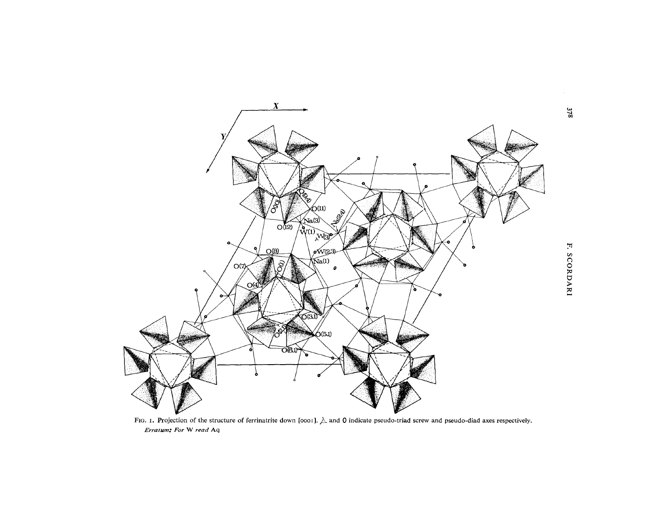

FIG. 1. Projection of the structure of ferrinatrite down [0001].  $\triangle$  and 0 indicate pseudo-triad screw and pseudo-diad axes respectively. Erratum: For W read Aq

 $378$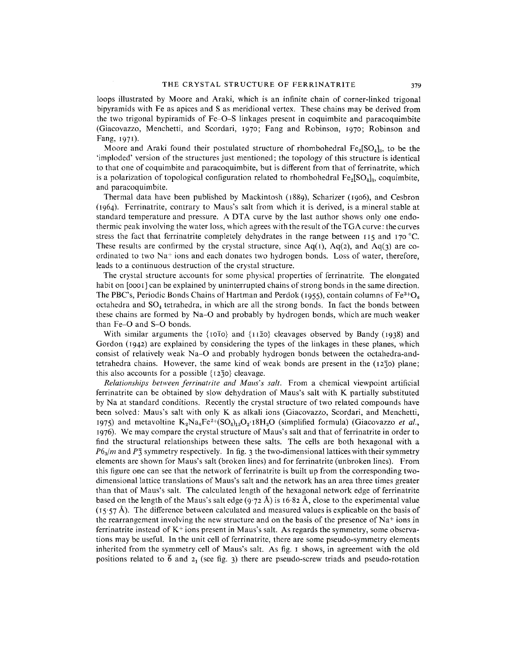loops illustrated by Moore and Araki, which is an infinite chain of corner-linked trigonal bipyramids with Fe as apices and S as meridional vertex. These chains may be derived from the two trigonal bypiramids of Fe-O-S linkages present in coquimbite and paracoquimbite (Giacovazzo, Menchetti, and Scordari, 1970; Fang and Robinson, 1970; Robinson and Fang, 1971).

Moore and Araki found their postulated structure of rhombohedral  $Fe_2[SO_4]_3$ , to be the 'imploded' version of the structures just mentioned; the topology of this structure is identical to that one of coquimbite and paracoquimbite, but is different from that of ferrinatrite, which is a polarization of topological configuration related to rhombohedral  $Fe<sub>2</sub>[SO<sub>4</sub>]$ <sub>3</sub>, coquimbite, and paracoquimbite.

Thermal data have been published by Mackintosh (1889), Scharizer (1906), and Cesbron (1964). Ferrinatrite, contrary to Maus's salt from which it is derived, is a mineral stable at standard temperature and pressure. A DTA curve by the last author shows only one endothermic peak involving the water loss, which agrees with the result of the TGA curve: the curves stress the fact that ferrinatrite completely dehydrates in the range between  $115$  and  $170$  °C. These results are confirmed by the crystal structure, since  $Aq(1)$ ,  $Aq(2)$ , and  $Aq(3)$  are coordinated to two Na+ ions and each donates two hydrogen bonds. Loss of water, therefore, leads to a continuous destruction of the crystal structure.

The crystal structure accounts for some physical properties of ferrinatrite. The elongated habit on  $[0001]$  can be explained by uninterrupted chains of strong bonds in the same direction. The PBC's, Periodic Bonds Chains of Hartman and Perdok (1955), contain columns of  $Fe<sup>3+</sup>O<sub>6</sub>$ octahedra and  $SO<sub>4</sub>$  tetrahedra, in which are all the strong bonds. In fact the bonds between these chains are formed by Na-O and probably by hydrogen bonds, which are much weaker than Fe-O and S-O bonds.

With similar arguments the {10<sup>1</sup>0} and {1120} cleavages observed by Bandy (1938) and Gordon (1942) are explained by considering the types of the linkages in these planes, which consist of relatively weak Na-O and probably hydrogen bonds between the octahedra-andtetrahedra chains. However, the same kind of weak bonds are present in the  $(12\bar{3}0)$  plane; this also accounts for a possible  $\{12\overline{3}0\}$  cleavage.

*Relationships between jerrinatrite and Maus's salt.* From a chemical viewpoint artificial ferrinatrite can be obtained by slow dehydration of Maus's salt with K partially substituted by Na at standard conditions. Recently the crystal structure of two related compounds have been solved: Maus's salt with only K as alkali ions (Giacovazzo, Scordari, and Menchetti, 1975) and metavoltine  $K_2Na_6Fe^{2+}(SO_4)_{12}O_2$  18H<sub>2</sub>O (simplified formula) (Giacovazzo *et al.*, 1976). We may compare the crystal structure of Maus's salt and that of ferrinatrite in order to find the structural relationships between these salts. The cells are both hexagonal with a  $P6<sub>3</sub>/m$  and  $P\bar{3}$  symmetry respectively. In fig. 3 the two-dimensional lattices with their symmetry elements are shown for Maus's salt (broken lines) and for ferrinatrite (unbroken lines). From this figure one can see that the network of ferrinatrite is built up from the corresponding twodimensional lattice translations of Maus's salt and the network has an area three times greater than that of Maus's salt. The calculated length of the hexagonal network edge of ferrinatrite based on the length of the Maus's salt edge (9.72 Å) is 16.82 Å, close to the experimental value  $(15.57 \text{ Å})$ . The difference between calculated and measured values is explicable on the basis of the rearrangement involving the new structure and on the basis of the presence of  $Na<sup>+</sup>$  ions in ferrinatrite instead of  $K^+$  ions present in Maus's salt. As regards the symmetry, some observations may be useful. In the unit cell of ferrinatrite, there are some pseudo-symmetry elements inherited from the symmetry cell of Maus's salt. As fig. I shows, in agreement with the old positions related to  $\bar{6}$  and  $2<sub>1</sub>$  (see fig. 3) there are pseudo-screw triads and pseudo-rotation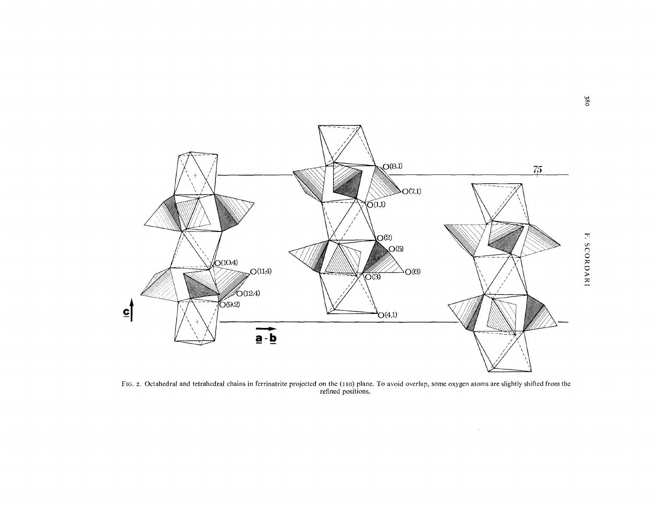

FIG. 2. Octahedral and tetrahedral chains in ferrinatrite projected on the (110) plane. To avoid overlap, some oxygen atoms are slightly shifted from the refined positions.

 $\mathcal{A}^{\pm}$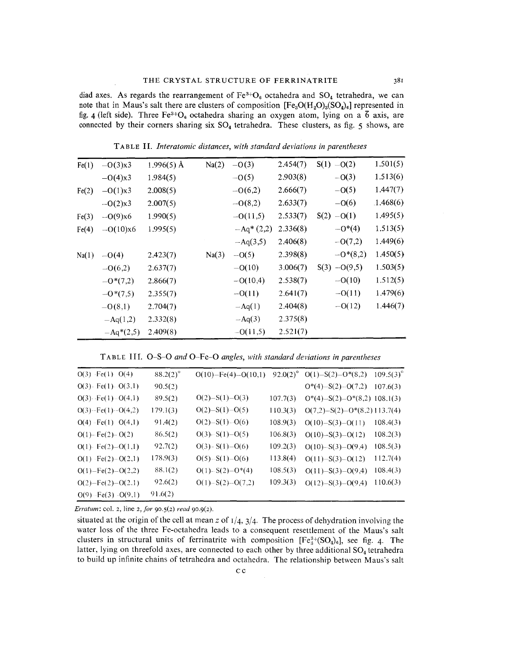diad axes. As regards the rearrangement of  $Fe^{3+}O_6$  octahedra and  $SO_4$  tetrahedra, we can note that in Maus's salt there are clusters of composition  $[Fe<sub>3</sub>O(H<sub>2</sub>O)<sub>3</sub>(SO<sub>4</sub>)<sub>6</sub>]$  represented in fig. 4 (left side). Three Fe<sup>3+</sup>O<sub>6</sub> octahedra sharing an oxygen atom, lying on a  $\bar{6}$  axis, are connected by their corners sharing six  $SO_4$  tetrahedra. These clusters, as fig. 5 shows, are

| Fe(1) | $-O(3)x3$   | $1.996(5)$ Å | Na(2) | $-0(3)$     | 2.454(7) | $S(1) - O(2)$  | 1.501(5)  |
|-------|-------------|--------------|-------|-------------|----------|----------------|-----------|
|       | $-O(4)x3$   | 1.984(5)     |       | $-0(5)$     | 2.903(8) | $-0(3)$        | 1.513(6)  |
| Fe(2) | $-O(1)x3$   | 2.008(5)     |       | $-0(6,2)$   | 2.666(7) | $-0(5)$        | 1.447(7)  |
|       | $-0(2)x3$   | 2.007(5)     |       | $-O(8,2)$   | 2.633(7) | $-0(6)$        | .1.468(6) |
| Fe(3) | $-0(9)x6$   | 1.990(5)     |       | $-0(11,5)$  | 2.533(7) | $S(2) -O(1)$   | 1.495(5)  |
| Fe(4) | $-0(10)x6$  | 1.995(5)     |       | $-Aq*(2,2)$ | 2.336(8) | $-0^{*}(4)$    | 1.513(5)  |
|       |             |              |       | $-Aq(3,5)$  | 2.406(8) | $-0(7,2)$      | 1.449(6)  |
| Na(1) | $-0(4)$     | 2.423(7)     | Na(3) | $-0(5)$     | 2.398(8) | $-0*(8,2)$     | 1.450(5)  |
|       | $-0(6,2)$   | 2.637(7)     |       | $-0(10)$    | 3.006(7) | $S(3) -O(9,5)$ | 1.503(5)  |
|       | $-0*(7,2)$  | 2.866(7)     |       | $-0(10,4)$  | 2.538(7) | $-0(10)$       | 1.512(5)  |
|       | $-0*(7,5)$  | 2.355(7)     |       | $-0(11)$    | 2.641(7) | $-0(11)$       | 1.479(6)  |
|       | $-O(8,1)$   | 2.704(7)     |       | $-Aq(1)$    | 2.404(8) | $-0(12)$       | 1.446(7)  |
|       | $-Aq(1,2)$  | 2.332(8)     |       | $-Aq(3)$    | 2.375(8) |                |           |
|       | $-Aq*(2,5)$ | 2.409(8)     |       | $-0(11,5)$  | 2.521(7) |                |           |

T ABLE **II.** *Interatomic distances, with standard deviations in parentheses*

|  |  |  |  |  |  |  |  |  |  | TABLE III. O-S-O and O-Fe-O angles, with standard deviations in parenthese. |
|--|--|--|--|--|--|--|--|--|--|-----------------------------------------------------------------------------|
|--|--|--|--|--|--|--|--|--|--|-----------------------------------------------------------------------------|

| $O(3) \cdot Fe(1) \cdot O(4)$ | $88.2(2)^\circ$ | $O(10) - Fe(4) - O(10,1)$ |          | 92.0(2) <sup>°</sup> O(1)-S(2)-O*(8,2) | $109.5(3)^{\circ}$ |
|-------------------------------|-----------------|---------------------------|----------|----------------------------------------|--------------------|
| $O(3)$ - Fe $(1)$ - $O(3,1)$  | 90.5(2)         |                           |          | $O^*(4)-S(2)-O(7,2)$                   | 107.6(3)           |
| $O(3)$ Fe(1) $-O(4,1)$        | 89.5(2)         | $O(2) - S(1) - O(3)$      | 107.7(3) | $O^*(4) - S(2) - O^*(8,2)$ 108.1(3)    |                    |
| $O(3) - Fe(1) - O(4,2)$       | 179.1(3)        | $O(2) - S(1) - O(5)$      | 110.3(3) | $O(7,2) - S(2) - O^*(8,2)$ 113.7(4)    |                    |
| $O(4) - Fe(1)$ $O(4,1)$       | 91.4(2)         | $O(2) - S(1) - O(6)$      | 108.9(3) | $O(10)-S(3)-O(11)$                     | 108.4(3)           |
| $O(1)$ - Fe $(2)$ - $O(2)$    | 86.5(2)         | $O(3) - S(1) - O(5)$      | 106.8(3) | $O(10) - S(3) - O(12)$                 | 108.2(3)           |
| $O(1)$ - Fe $(2)$ -O $(1,1)$  | 92.7(2)         | $O(3) - S(1) - O(6)$      | 109.2(3) | $O(10) - S(3) - O(9,4)$                | 108.5(3)           |
| $O(1)$ -Fe(2)– $O(2,1)$       | 178.9(3)        | $O(5) - S(1) - O(6)$      | 113.8(4) | $O(11) - S(3) - O(12)$                 | 112.7(4)           |
| $O(1) - Fe(2) - O(2,2)$       | 88.1(2)         | $O(1) - S(2) - O^{*}(4)$  | 108.5(3) | $O(11) - S(3) - O(9,4)$                | 108.4(3)           |
| $O(2) - Fe(2) - O(2.1)$       | 92.6(2)         | $O(1) - S(2) - O(7,2)$    | 109.3(3) | $O(12) - S(3) - O(9,4)$                | 110.6(3)           |
| $O(9) - Fe(3) - O(9,1)$       | 91.6(2)         |                           |          |                                        |                    |

*Erratum:* co!. 2, line 2, *for* 90.5(2) *read 90.9(2).*

situated at the origin of the cell at mean *z* of 1/4, 3/4. The process of dehydration involving the water loss of the three Fe-octahedra leads to a consequent resettlement of the Maus's salt clusters in structural units of ferrinatrite with composition  $[Fe<sub>3</sub><sup>3+</sup>(SO<sub>4</sub>)<sub>6</sub>]$ , see fig. 4. The latter, lying on threefold axes, are connected to each other by three additional SO<sub>4</sub> tetrahedra to build up infinite chains of tetrahedra and octahedra. The relationship between Maus's salt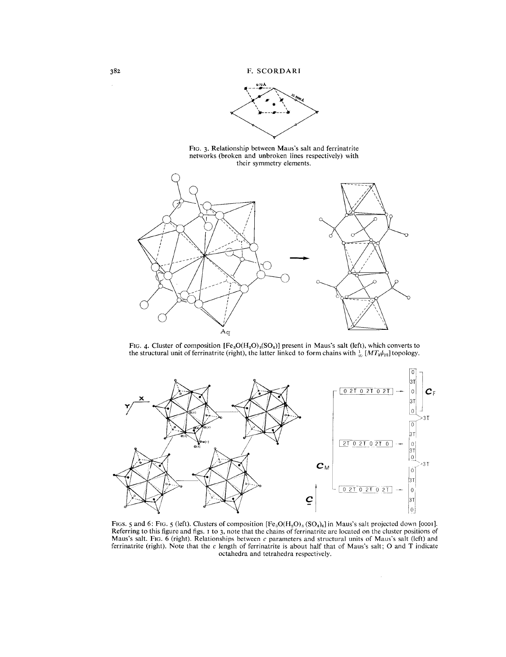**F. SCORDARI**







FIG. 4. Cluster of composition  $[Fe_3O(H_2O)_3(SO_4)]$  present in Maus's salt (left), which converts to the structural unit of ferrinatrite (right), the latter linked to form chains with  $\frac{1}{\infty}$  [*MT<sub>3</sub>* $\psi_{12}$ ] topology.



FIGS. 5 and 6: FIG. 5 (left). Clusters of composition  $[Fe_3O(H_2O)_3(SO_4)_6]$  in Maus's salt projected down [0001]. Referring to this figure and figs. I to 3, note that the chains of ferrinatrite are located on the cluster positions of Maus's salt. Fig. 6 (right). Relationships between c parameters and structural units of Maus's salt (left) and ferrinatrite (right). Note that the c length of ferrinatrite is about half that of Maus's salt; 0 and T indicate octahedra and tetrahedra respectively.